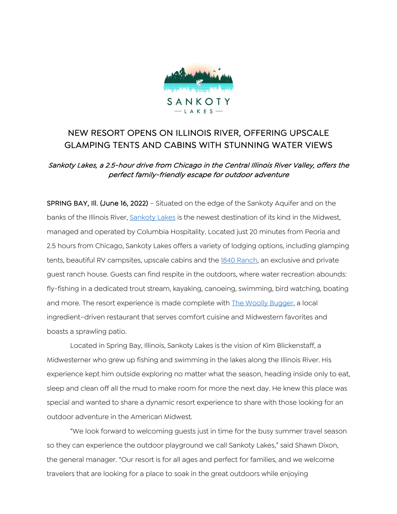

# NEW RESORT OPENS ON ILLINOIS RIVER, OFFERING UPSCALE GLAMPING TENTS AND CABINS WITH STUNNING WATER VIEWS

## Sankoty Lakes, a 2.5-hour drive from Chicago in the Central Illinois River Valley, offers the perfect family-friendly escape for outdoor adventure

SPRING BAY, Ill. (June 16, 2022) – Situated on the edge of the Sankoty Aquifer and on the banks of the Illinois River, Sankoty Lakes is the newest destination of its kind in the Midwest, managed and operated by Columbia Hospitality. Located just 20 minutes from Peoria and 2.5 hours from Chicago, Sankoty Lakes offers a variety of lodging options, including glamping tents, beautiful RV campsites, upscale cabins and the 1840 Ranch, an exclusive and private guest ranch house. Guests can find respite in the outdoors, where water recreation abounds: fly-fishing in a dedicated trout stream, kayaking, canoeing, swimming, bird watching, boating and more. The resort experience is made complete with The Woolly Bugger, a local ingredient–driven restaurant that serves comfort cuisine and Midwestern favorites and boasts a sprawling patio.

Located in Spring Bay, Illinois, Sankoty Lakes is the vision of Kim Blickenstaff, a Midwesterner who grew up fishing and swimming in the lakes along the Illinois River. His experience kept him outside exploring no matter what the season, heading inside only to eat, sleep and clean off all the mud to make room for more the next day. He knew this place was special and wanted to share a dynamic resort experience to share with those looking for an outdoor adventure in the American Midwest.

"We look forward to welcoming guests just in time for the busy summer travel season so they can experience the outdoor playground we call Sankoty Lakes," said Shawn Dixon, the general manager. "Our resort is for all ages and perfect for families, and we welcome travelers that are looking for a place to soak in the great outdoors while enjoying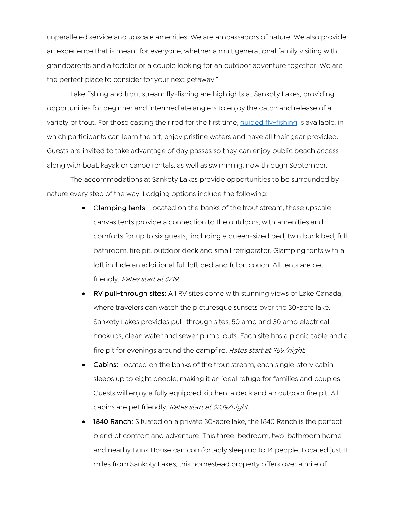unparalleled service and upscale amenities. We are ambassadors of nature. We also provide an experience that is meant for everyone, whether a multigenerational family visiting with grandparents and a toddler or a couple looking for an outdoor adventure together. We are the perfect place to consider for your next getaway."

Lake fishing and trout stream fly-fishing are highlights at Sankoty Lakes, providing opportunities for beginner and intermediate anglers to enjoy the catch and release of a variety of trout. For those casting their rod for the first time, guided fly-fishing is available, in which participants can learn the art, enjoy pristine waters and have all their gear provided. Guests are invited to take advantage of day passes so they can enjoy public beach access along with boat, kayak or canoe rentals, as well as swimming, now through September.

The accommodations at Sankoty Lakes provide opportunities to be surrounded by nature every step of the way. Lodging options include the following:

- Glamping tents: Located on the banks of the trout stream, these upscale canvas tents provide a connection to the outdoors, with amenities and comforts for up to six guests, including a queen-sized bed, twin bunk bed, full bathroom, fire pit, outdoor deck and small refrigerator. Glamping tents with a loft include an additional full loft bed and futon couch. All tents are pet friendly. Rates start at \$219.
- RV pull-through sites: All RV sites come with stunning views of Lake Canada, where travelers can watch the picturesque sunsets over the 30-acre lake. Sankoty Lakes provides pull-through sites, 50 amp and 30 amp electrical hookups, clean water and sewer pump-outs. Each site has a picnic table and a fire pit for evenings around the campfire. Rates start at \$69/night.
- Cabins: Located on the banks of the trout stream, each single-story cabin sleeps up to eight people, making it an ideal refuge for families and couples. Guests will enjoy a fully equipped kitchen, a deck and an outdoor fire pit. All cabins are pet friendly. Rates start at \$239/night.
- 1840 Ranch: Situated on a private 30-acre lake, the 1840 Ranch is the perfect blend of comfort and adventure. This three-bedroom, two-bathroom home and nearby Bunk House can comfortably sleep up to 14 people. Located just 11 miles from Sankoty Lakes, this homestead property offers over a mile of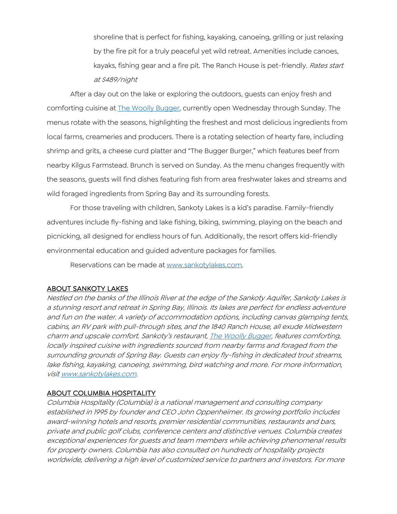shoreline that is perfect for fishing, kayaking, canoeing, grilling or just relaxing by the fire pit for a truly peaceful yet wild retreat. Amenities include canoes, kayaks, fishing gear and a fire pit. The Ranch House is pet-friendly. Rates start at \$489/night

After a day out on the lake or exploring the outdoors, guests can enjoy fresh and comforting cuisine at **The Woolly Bugger**, currently open Wednesday through Sunday. The menus rotate with the seasons, highlighting the freshest and most delicious ingredients from local farms, creameries and producers. There is a rotating selection of hearty fare, including shrimp and grits, a cheese curd platter and "The Bugger Burger," which features beef from nearby Kilgus Farmstead. Brunch is served on Sunday. As the menu changes frequently with the seasons, guests will find dishes featuring fish from area freshwater lakes and streams and wild foraged ingredients from Spring Bay and its surrounding forests.

For those traveling with children, Sankoty Lakes is a kid's paradise. Family-friendly adventures include fly-fishing and lake fishing, biking, swimming, playing on the beach and picnicking, all designed for endless hours of fun. Additionally, the resort offers kid-friendly environmental education and guided adventure packages for families.

Reservations can be made at www.sankotylakes.com.

### ABOUT SANKOTY LAKES

Nestled on the banks of the Illinois River at the edge of the Sankoty Aquifer, Sankoty Lakes is a stunning resort and retreat in Spring Bay, Illinois. Its lakes are perfect for endless adventure and fun on the water. A variety of accommodation options, including canvas glamping tents, cabins, an RV park with pull-through sites, and the 1840 Ranch House, all exude Midwestern charm and upscale comfort. Sankoty's restaurant, The Woolly Bugger, features comforting, locally inspired cuisine with ingredients sourced from nearby farms and foraged from the surrounding grounds of Spring Bay. Guests can enjoy fly-fishing in dedicated trout streams, lake fishing, kayaking, canoeing, swimming, bird watching and more. For more information, visit www.sankotylakes.com.

#### ABOUT COLUMBIA HOSPITALITY

Columbia Hospitality (Columbia) is a national management and consulting company established in 1995 by founder and CEO John Oppenheimer. Its growing portfolio includes award-winning hotels and resorts, premier residential communities, restaurants and bars, private and public golf clubs, conference centers and distinctive venues. Columbia creates exceptional experiences for guests and team members while achieving phenomenal results for property owners. Columbia has also consulted on hundreds of hospitality projects worldwide, delivering a high level of customized service to partners and investors. For more